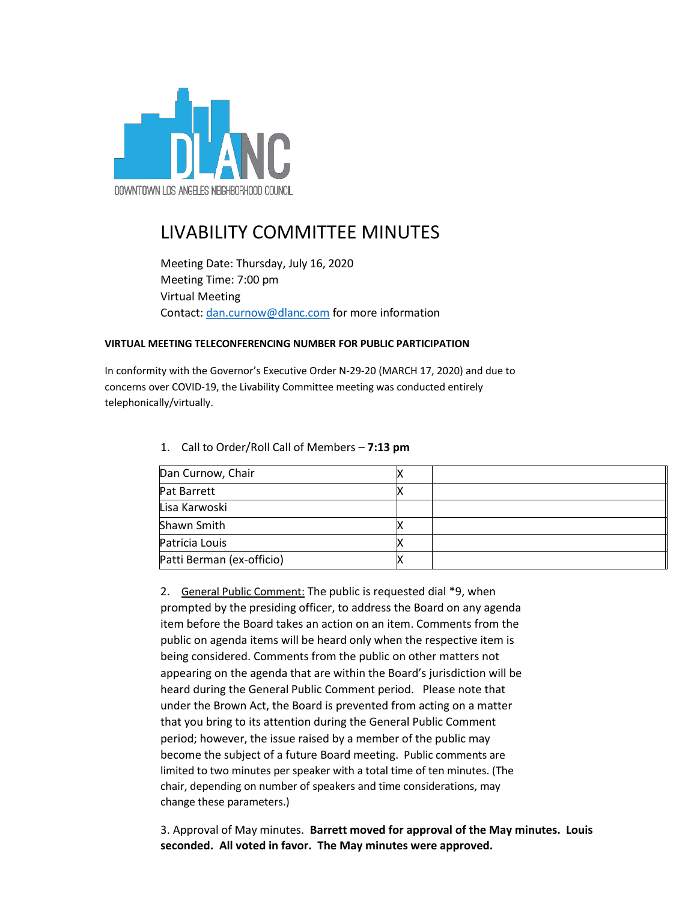

## LIVABILITY COMMITTEE MINUTES

Meeting Date: Thursday, July 16, 2020 Meeting Time: 7:00 pm Virtual Meeting Contact: [dan.curnow@dlanc.com](mailto:dan.curnow@dlanc.com) for more information

## **VIRTUAL MEETING TELECONFERENCING NUMBER FOR PUBLIC PARTICIPATION**

In conformity with the Governor's Executive Order N-29-20 (MARCH 17, 2020) and due to concerns over COVID-19, the Livability Committee meeting was conducted entirely telephonically/virtually.

| Dan Curnow, Chair         |  |
|---------------------------|--|
| <b>Pat Barrett</b>        |  |
| Lisa Karwoski             |  |
| Shawn Smith               |  |
| Patricia Louis            |  |
| Patti Berman (ex-officio) |  |

1. Call to Order/Roll Call of Members – **7:13 pm**

2. General Public Comment: The public is requested dial \*9, when prompted by the presiding officer, to address the Board on any agenda item before the Board takes an action on an item. Comments from the public on agenda items will be heard only when the respective item is being considered. Comments from the public on other matters not appearing on the agenda that are within the Board's jurisdiction will be heard during the General Public Comment period. Please note that under the Brown Act, the Board is prevented from acting on a matter that you bring to its attention during the General Public Comment period; however, the issue raised by a member of the public may become the subject of a future Board meeting. Public comments are limited to two minutes per speaker with a total time of ten minutes. (The chair, depending on number of speakers and time considerations, may change these parameters.)

3. Approval of May minutes. **Barrett moved for approval of the May minutes. Louis seconded. All voted in favor. The May minutes were approved.**